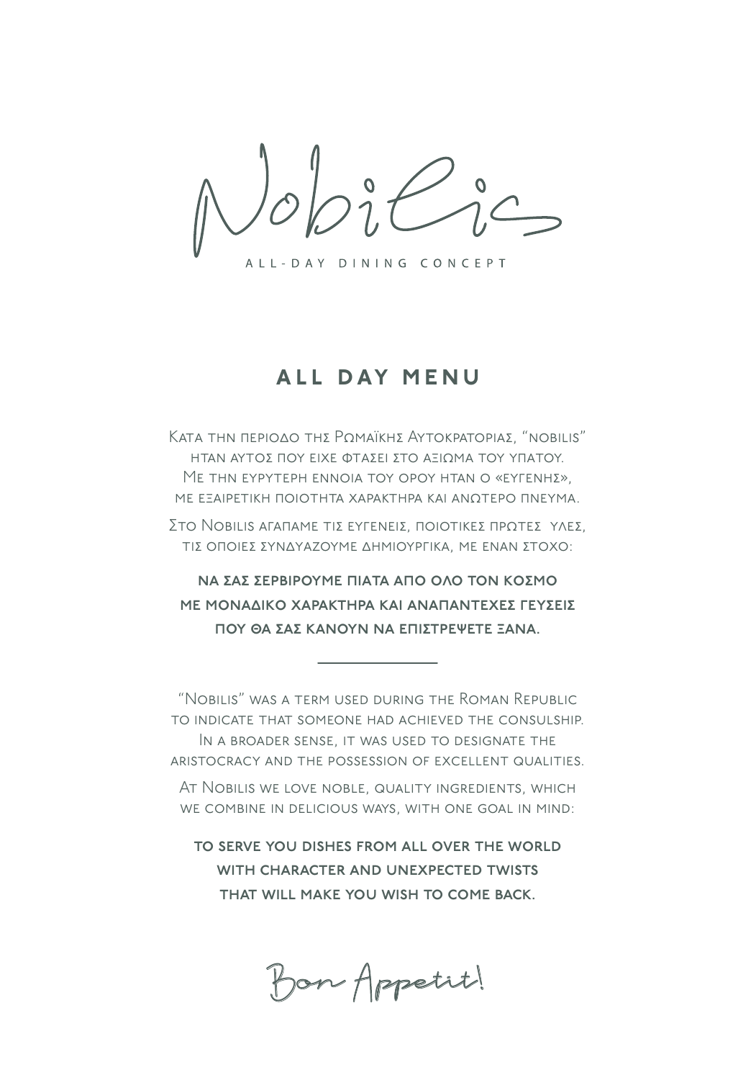$\boldsymbol{o}$ 

ALL-DAY DINING CONCEPT

## ALL DAY MENU

Κατά την περίοδο της Ροmaϊκής Αγτοκρatopias, "nobilis" ΗΤΑΝ ΑΥΤΟΣ ΠΟΥ ΕΙΧΕ ΦΤΑΣΕΙ ΣΤΟ ΑΞΙΩΜΑ ΤΟΥ ΥΠΑΤΟΥ. Με τhn eypyteph ennoia toy opoy htan o «eyfenhe». ΜΕ ΕΞΑΙΡΕΤΙΚΉ ΠΟΙΟΤΗΤΑ ΧΑΡΑΚΤΗΡΑ ΚΑΙ ΑΝΩΤΕΡΟ ΠΝΕΥΜΑ.

Στο Nobilis afaπame τιε εγγενείε, ποιοτικές προτές γλες, τιΣ ΟΠΟΙΕΣ ΣΥΝΔΥΑΖΟΥΜΕ ΔΗΜΙΟΥΡΓΙΚΑ, ΜΕ ΕΝΑΝ ΣΤΟΧΟ:

ΝΑ ΣΑΣ ΣΕΡΒΙΡΟΥΜΕ ΠΙΑΤΑ ΑΠΟ ΟΛΟ ΤΟΝ ΚΟΣΜΟ ΗΕ ΜΟΝΑΔΙΚΟ ΧΑΡΑΚΤΗΡΑ ΚΑΙ ΑΝΑΠΑΝΤΕΧΕΣ ΓΕΥΣΕΙΣ ποΥ ΘΑ ΣΑΣ ΚΑΝΟΥΝ ΝΑ ΕΠΙΣΤΡΕΨΕΤΕ ΞΑΝΑ.

"Nobilis" was a term used during the Roman Republic to indicate that someone had achieved the consulship. IN A BROADER SENSE, IT WAS USED TO DESIGNATE THE aristocracy and the possession of excellent qualities.

At Nobilis we love noble, quality ingredients, which we combine in delicious ways, with one goal in mind:

to serve you dishes from all over the world WITH CHARACTER AND UNEXPECTED TWISTS that will make you wish to come back.

Bon Appetit!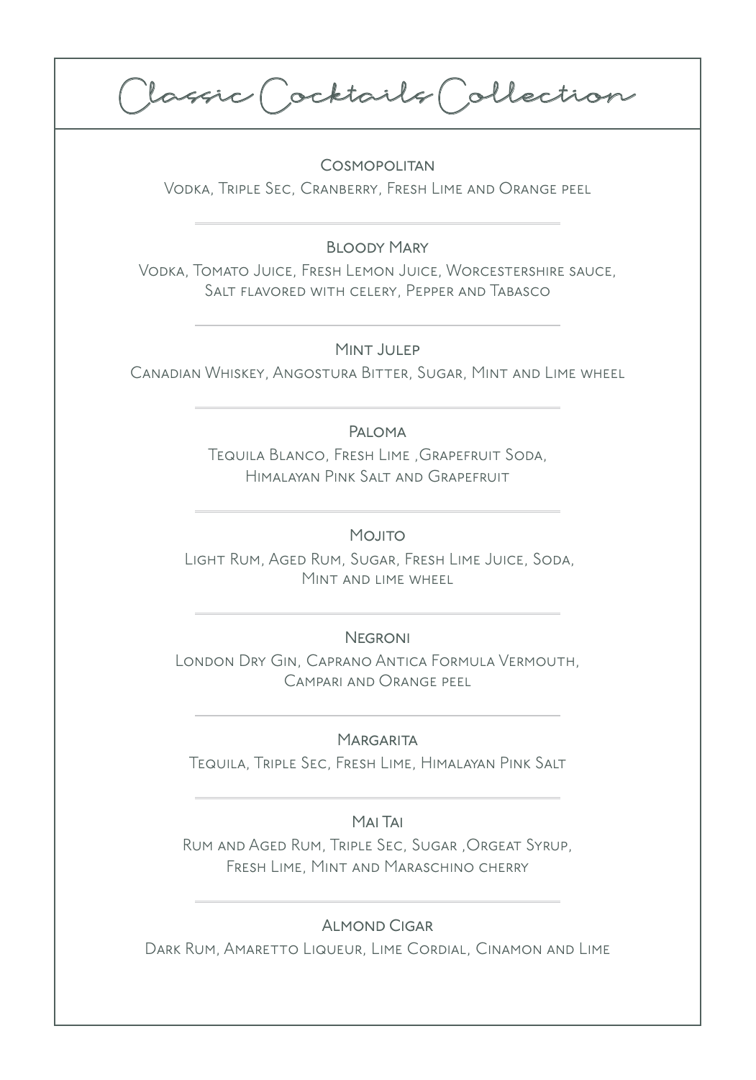Classic Cocktails Collection

Cosmopolitan Vodka, Triple Sec, Cranberry, Fresh Lime and Orange peel

Bloody Mary

Vodka, Tomato Juice, Fresh Lemon Juice, Worcestershire sauce, Salt flavored with celery, Pepper and Tabasco

Mint Julep

Canadian Whiskey, Angostura Bitter, Sugar, Mint and Lime wheel

### Paloma

Tequila Blanco, Fresh Lime ,Grapefruit Soda, Himalayan Pink Salt and Grapefruit

MOJITO

 Light Rum, Aged Rum, Sugar, Fresh Lime Juice, Soda, Mint and lime wheel

### **NEGRONI**

London Dry Gin, Caprano Antica Formula Vermouth, Campari and Orange peel

#### **MARGARITA**

Tequila, Triple Sec, Fresh Lime, Himalayan Pink Salt

#### Mai Tai

Rum and Aged Rum, Triple Sec, Sugar ,Orgeat Syrup, Fresh Lime, Mint and Maraschino cherry

### Almond Cigar

DARK RUM, AMARETTO LIQUEUR, LIME CORDIAL, CINAMON AND LIME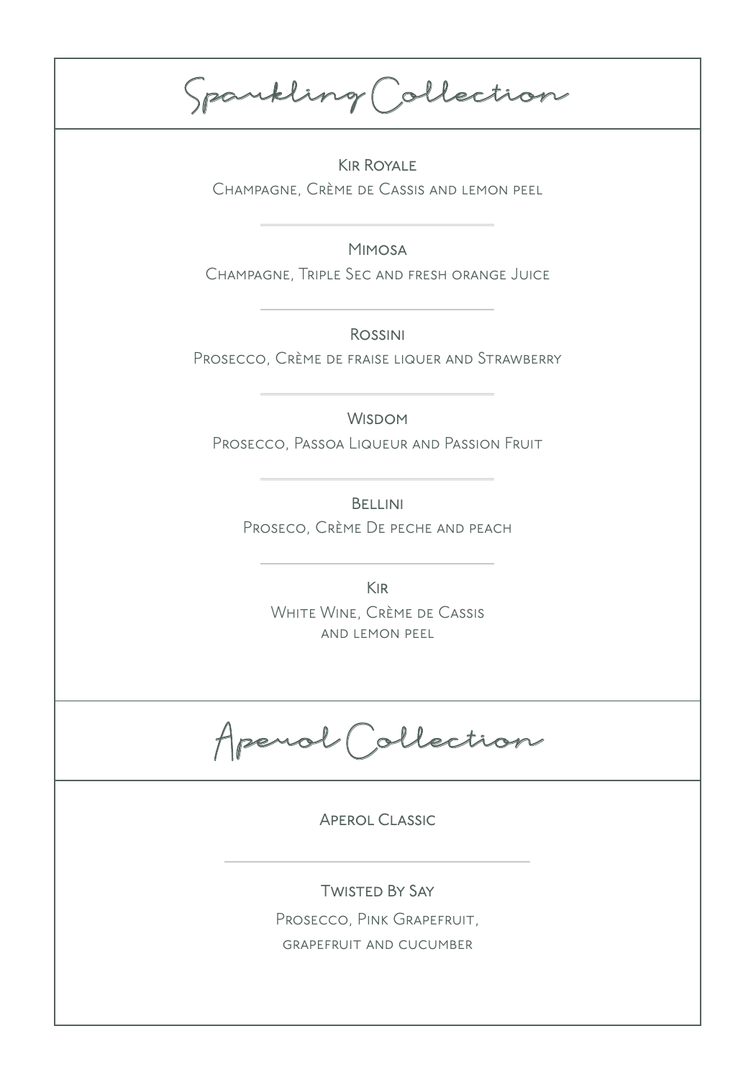Spa rkling Collection

Kir Royale Champagne, Crème de Cassis and lemon peel

Mimosa Champagne, Triple Sec and fresh orange Juice

Rossini Prosecco, Crème de fraise liquer and Strawberry

**WISDOM** 

Prosecco, Passoa Liqueur and Passion Fruit

**BELLINI** Proseco, Crème De peche and peach

> Kir WHITE WINE, CRÈME DE CASSIS and lemon peel

Aperol Collection

Aperol Classic

Twisted By Say

Prosecco, PINK GRAPEFRUIT, grapefruit and cucumber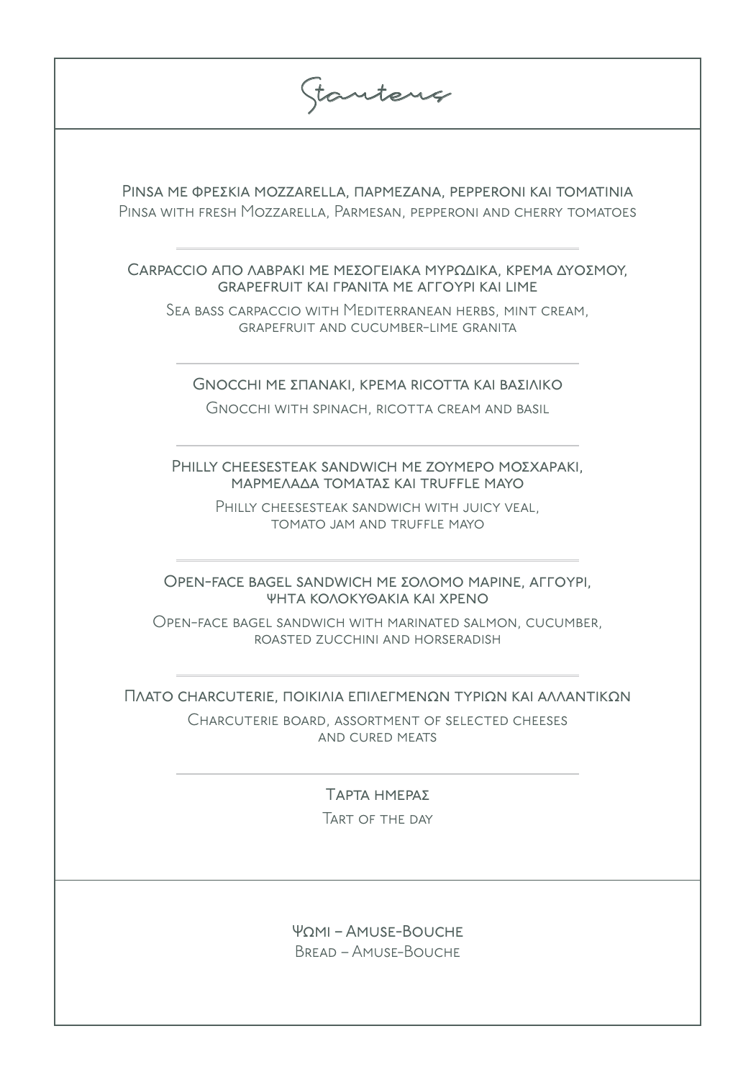| tantens                                                                                                                                 |  |
|-----------------------------------------------------------------------------------------------------------------------------------------|--|
| PINSA ΜΕ ΦΡΕΣΚΙΑ ΜΟΖΖΑRELLA, ΠΑΡΜΕΖΑΝΑ, ΡΕΡΡΕRONI ΚΑΙ ΤΟΜΑΤΙΝΙΑ<br>PINSA WITH FRESH MOZZARELLA, PARMESAN, PEPPERONI AND CHERRY TOMATOES |  |
| САRPACCIO ΑΠΟ ΛΑΒΡΑΚΙ ΜΕ ΜΕΣΟΓΕΙΑΚΑ ΜΥΡΩΔΙΚΑ, ΚΡΕΜΑ ΔΥΟΣΜΟΥ,<br><b>GRAPEFRUIT KAI FPANITA ME AFFOYPI KAI LIME</b>                       |  |
| SEA BASS CARPACCIO WITH MEDITERRANEAN HERBS, MINT CREAM,<br><b>GRAPEFRUIT AND CUCUMBER-LIME GRANITA</b>                                 |  |
| GNOCCHI ΜΕ ΣΠΑΝΑΚΙ, ΚΡΕΜΑ RICOTTA ΚΑΙ ΒΑΣΙΛΙΚΟ<br>GNOCCHI WITH SPINACH, RICOTTA CREAM AND BASIL                                         |  |
| PHILLY CHEESESTEAK SANDWICH ME ZOYMEPO MOZXAPAKI,<br>ΜΑΡΜΕΛΑΔΑ ΤΟΜΑΤΑΣ ΚΑΙ ΤRUFFLE ΜΑΥΟ                                                 |  |
| PHILLY CHEESESTEAK SANDWICH WITH JUICY VEAL,<br>TOMATO JAM AND TRUFFLE MAYO                                                             |  |
| OPEN-FACE BAGEL SANDWICH ΜΕ ΣΟΛΟΜΟ ΜΑΡΙΝΕ, ΑΓΓΟΥΡΙ,<br>ΨΗΤΑ ΚΟΛΟΚΥΘΑΚΙΑ ΚΑΙ ΧΡΕΝΟ                                                       |  |
| Open-face bagel sandwich with marinated salmon, cucumber,<br>ROASTED ZUCCHINI AND HORSERADISH                                           |  |
| ΠΛΑΤΟ CHARCUTERIE, ΠΟΙΚΙΛΙΑ ΕΠΙΛΕΓΜΕΝΩΝ ΤΥΡΙΩΝ ΚΑΙ ΑΛΛΑΝΤΙΚΩΝ                                                                           |  |
| CHARCUTERIE BOARD, ASSORTMENT OF SELECTED CHEESES<br>AND CURED MEATS                                                                    |  |
| ΤΑΡΤΑ ΗΜΕΡΑΣ                                                                                                                            |  |
| TART OF THE DAY                                                                                                                         |  |
|                                                                                                                                         |  |
| $\Psi$ <sup><math>\Omega</math></sup> $\overline{\Omega}$ – AMUSE-BOUCHE<br><b>BREAD - AMUSE-BOUCHE</b>                                 |  |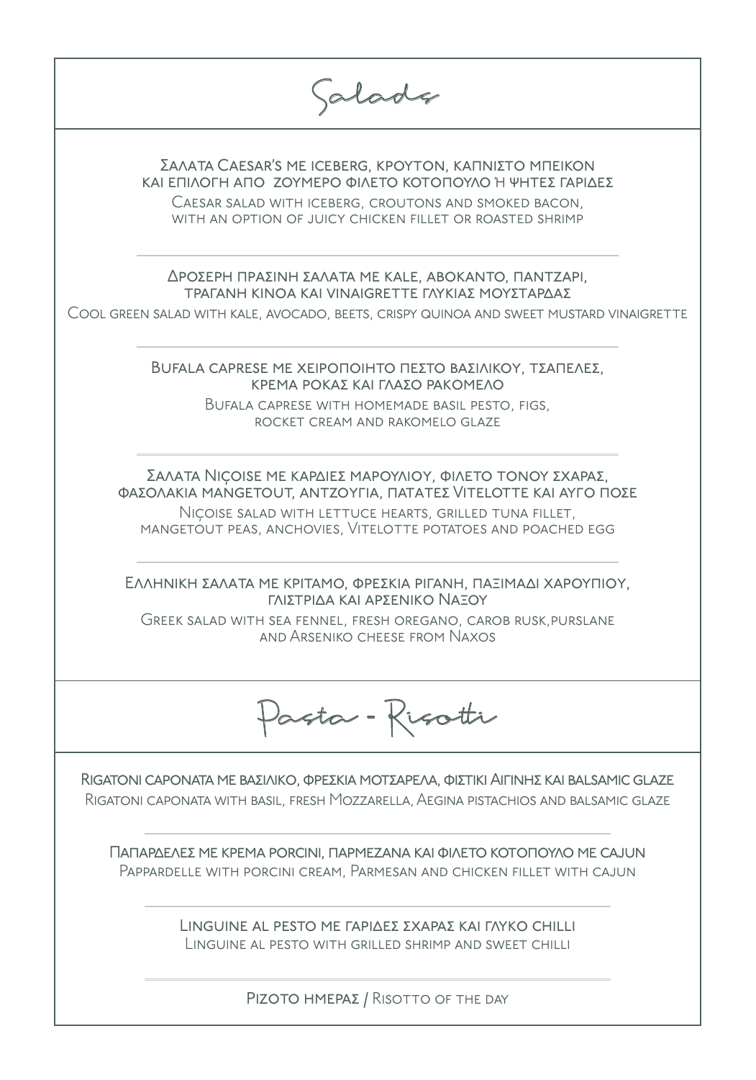| alade                                                                                                                                                                                                                                                    |
|----------------------------------------------------------------------------------------------------------------------------------------------------------------------------------------------------------------------------------------------------------|
| ΣΑΛΑΤΑ CAESAR'S ME ICEBERG, ΚΡΟΥΤΟΝ, ΚΑΠΝΙΣΤΟ ΜΠΕΙΚΟΝ<br>ΚΑΙ ΕΠΙΛΟΓΗ ΑΠΟ ΖΟΥΜΕΡΟ ΦΙΛΕΤΟ ΚΟΤΟΠΟΥΛΟ Ή ΨΗΤΕΣ ΓΑΡΙΔΕΣ<br>CAESAR SALAD WITH ICEBERG, CROUTONS AND SMOKED BACON,<br>WITH AN OPTION OF JUICY CHICKEN FILLET OR ROASTED SHRIMP                   |
| ΔΡΟΣΕΡΗ ΠΡΑΣΙΝΗ ΣΑΛΑΤΑ ΜΕ ΚΑLΕ, ΑΒΟΚΑΝΤΟ, ΠΑΝΤΖΑΡΙ,<br><b>ΤΡΑΓΑΝΗ ΚΙΝΟΑ ΚΑΙ VINAIGRETTE ΓΛΥΚΙΑΣ ΜΟΥΣΤΑΡΔΑΣ</b><br>COOL GREEN SALAD WITH KALE, AVOCADO, BEETS, CRISPY QUINOA AND SWEET MUSTARD VINAIGRETTE                                                |
| <b>BUFALA CAPRESE ME ΧΕΙΡΟΠΟΙΗΤΟ ΠΕΣΤΟ ΒΑΣΙΛΙΚΟΥ, ΤΣΑΠΕΛΕΣ,</b><br>ΚΡΕΜΑ ΡΟΚΑΣ ΚΑΙ ΓΛΑΣΟ ΡΑΚΟΜΕΛΟ<br>BUFALA CAPRESE WITH HOMEMADE BASIL PESTO, FIGS,<br>ROCKET CREAM AND RAKOMELO GLAZE                                                                  |
| ΣΑΛΑΤΑ ΝΙÇΟΙΣΕ ΜΕ ΚΑΡΔΙΕΣ ΜΑΡΟΥΛΙΟΥ, ΦΙΛΕΤΟ ΤΟΝΟΥ ΣΧΑΡΑΣ,<br>ΦΑΣΟΛΑΚΙΑ ΜΑΝGΕΤΟUT, ΑΝΤΖΟΥΓΙΑ, ΠΑΤΑΤΕΣ VITELΟΤΤΕ ΚΑΙ ΑΥΓΟ ΠΟΣΕ<br>NICOISE SALAD WITH LETTUCE HEARTS, GRILLED TUNA FILLET,<br>MANGETOUT PEAS, ANCHOVIES, VITELOTTE POTATOES AND POACHED EGG |
| ΕΛΛΗΝΙΚΗ ΣΑΛΑΤΑ ΜΕ ΚΡΙΤΑΜΟ, ΦΡΕΣΚΙΑ ΡΙΓΑΝΗ, ΠΑΞΙΜΑΔΙ ΧΑΡΟΥΠΙΟΥ,<br>ΓΛΙΣΤΡΙΔΑ ΚΑΙ ΑΡΣΕΝΙΚΟ ΝΑΞΟΥ<br>GREEK SALAD WITH SEA FENNEL, FRESH OREGANO, CAROB RUSK, PURSLANE<br>AND ARSENIKO CHEESE FROM NAXOS                                                    |
| Pasta - Risotti                                                                                                                                                                                                                                          |
| RIGATONI CAPONATA ΜΕ ΒΑΣΙΛΙΚΟ, ΦΡΕΣΚΙΑ ΜΟΤΣΑΡΕΛΑ, ΦΙΣΤΙΚΙ ΑΙΓΙΝΗΣ ΚΑΙ BALSAMIC GLAZE<br>RIGATONI CAPONATA WITH BASIL, FRESH MOZZARELLA, AEGINA PISTACHIOS AND BALSAMIC GLAZE                                                                             |
| ΠΑΠΑΡΔΕΛΕΣ ΜΕ ΚΡΕΜΑ PORCINI, ΠΑΡΜΕΖΑΝΑ ΚΑΙ ΦΙΛΕΤΟ ΚΟΤΟΠΟΥΛΟ ΜΕ CAJUN<br>PAPPARDELLE WITH PORCINI CREAM, PARMESAN AND CHICKEN FILLET WITH CAJUN                                                                                                           |
| LINGUINE AL PESTO ME ΓΑΡΙΔΕΣ ΣΧΑΡΑΣ ΚΑΙ ΓΛΥΚΟ CHILLI<br>LINGUINE AL PESTO WITH GRILLED SHRIMP AND SWEET CHILLI                                                                                                                                           |

ΡΙΖΟΤΟ ΗΜΕΡΑΣ / RISOTTO OF THE DAY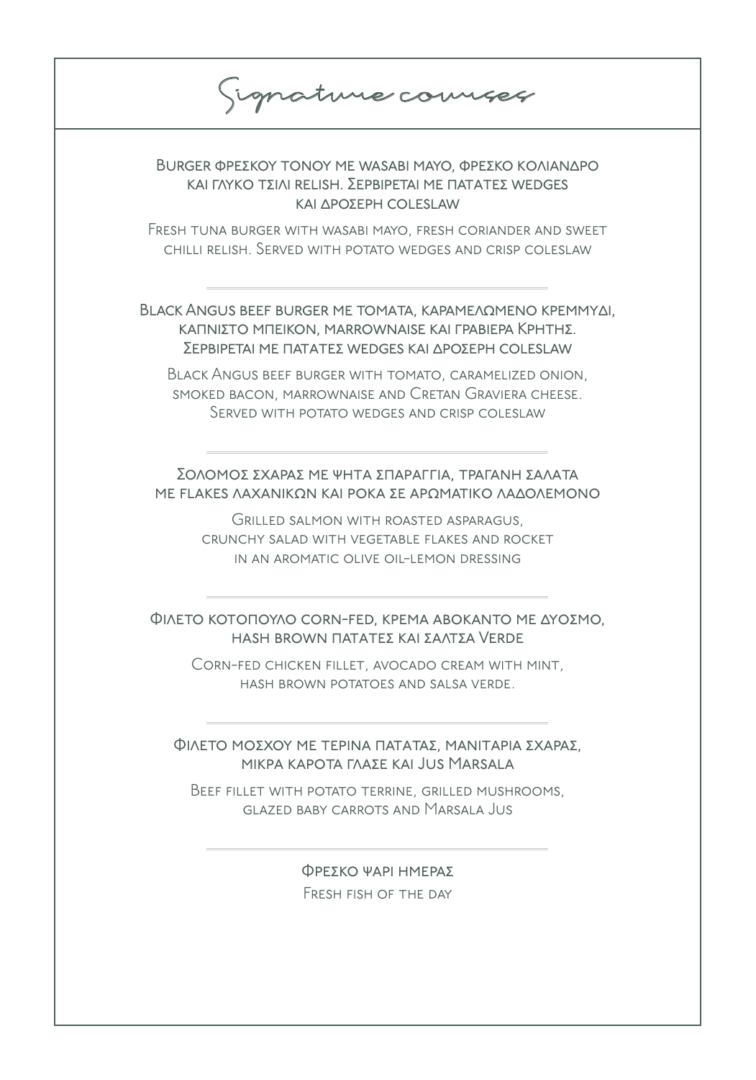Signature courses

BURGER ΦΡΕΣΚΟΥ ΤΟΝΟΥ ΜΕ WASABI ΜΑΥΟ, ΦΡΕΣΚΟ ΚΟΛΙΑΝΔΡΟ ΚΑΙ ΓΛΥΚΟ ΤΣΙΛΙ RELISH. ΣΕΡΒΙΡΕΤΑΙ ΜΕ ΠΑΤΑΤΕΣ WEDGES ΚΑΙ ΔΡΟΣΕΡΗ COLESLAW

Fresh tuna burger with wasabi mayo, fresh coriander and sweet chilli relish. Served with potato wedges and crisp coleslaw

BLACK ANGUS BEEF BURGER ΜΕ ΤΟΜΑΤΑ, ΚΑΡΑΜΕΛΩΜΕΝΟ ΚΡΕΜΜΥΔΙ, ΚΑΠΝΙΣΤΟ ΜΠΕΙΚΟΝ, MARROWNAISE ΚΑΙ ΓΡΑΒΙΕΡΑ ΚΡΗΤΗΣ. ΣΕΡΒΙΡΕΤΑΙ ΜΕ ΠΑΤΑΤΕΣ WEDGES ΚΑΙ ΔΡΟΣΕΡΗ COLESLAW

Black Angus beef burger with tomato, caramelized onion, smoked bacon, marrownaise and Cretan Graviera cheese. Served with potato wedges and crisp coleslaw

ΣΟΛΟΜΟΣ ΣΧΑΡΑΣ ΜΕ ΨΗΤΑ ΣΠΑΡΑΓΓΙΑ, ΤΡΑΓΑΝΗ ΣΑΛΑΤΑ ΜΕ FLAKES ΛΑΧΑΝΙΚΩΝ ΚΑΙ ΡΟΚΑ ΣΕ ΑΡΩΜΑΤΙΚΟ ΛΑΔΟΛΕΜΟΝΟ

> Grilled salmon with roasted asparagus, crunchy salad with vegetable flakes and rocket in an aromatic olive oil-lemon dressing

### ΦΙΛΈΤΟ ΚΟΤΌΠΟΥΛΟ CORN-FED, ΚΡΈΜΑ ΑΒΟΚΑΝΤΌ ΜΕ ΔΥΟΣΜΟ. HASH BROWN ΠΑΤΑΤΕΣ ΚΑΙ ΣΑΛΤΣΑ VERDE

Corn-fed chicken fillet, avocado cream with mint, hash brown potatoes and salsa verde.

ΦΙΛΕΤΟ ΜΟΣΧΟΥ ΜΕ ΤΕΡΙΝΑ ΠΑΤΑΤΑΣ, ΜΑΝΙΤΑΡΙΑ ΣΧΑΡΑΣ, ΜΙΚΡΑ ΚΑΡΟΤΑ ΓΛΑΣΕ ΚΑΙ JUS MARSALA

Beef fillet with potato terrine, grilled mushrooms, glazed baby carrots and Marsala Jus

> ΦΡΕΣΚΟ ΨΑΡΙ ΗΜΕΡΑΣ Fresh fish of the day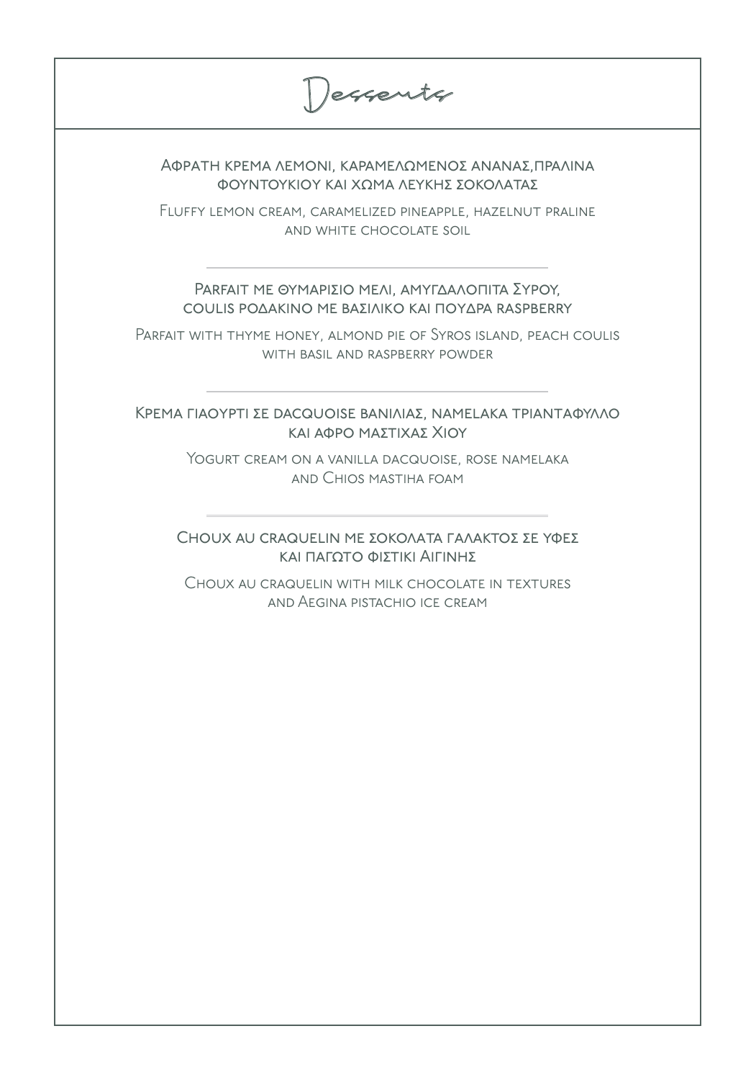Desserts

ΑΦΡΑΤΗ ΚΡΕΜΑ ΛΕΜΟΝΙ, ΚΑΡΑΜΕΛΩΜΕΝΟΣ ΑΝΑΝΑΣ,ΠΡΑΛΙΝΑ φοΥΝΤΟΥΚΙΟΥ ΚΑΙ ΧΩΜΑ ΛΕΥΚΗΣ ΣΟΚΟΛΑΤΑΣ

Fluffy lemon cream, caramelized pineapple, hazelnut praline and white chocolate soil

ΡΑRFAIT ΜΕ ΘΥΜΑΡΙΣΙΟ ΜΕΛΙ, ΑΜΥΓΔΑΛΟΠΙΤΑ ΣΥΡΟΥ, COULIS ΡΟΔΑΚΙΝΟ ΜΕ ΒΑΣΙΛΙΚΟ ΚΑΙ ΠΟΥΔΡΑ RASPBERRY

Parfait with thyme honey, almond pie of Syros island, peach coulis with basil and raspberry powder

ΚΡΕΜΑ ΓΙΑΟΥΡΤΙ ΣΕ DACQUOISE ΒΑΝΙΛΙΑΣ, NAMELAKA ΤΡΙΑΝΤΑΦΥΛΛΟ και αφρό ΜαΣΤΙΧΑΣ Χίον

> YOGURT CREAM ON A VANILLA DACQUOISE, ROSE NAMELAKA and Chios mastiha foam

CHOUX AU CRAQUELIN ΜΕ ΣΟΚΟΛΑΤΑ ΓΑΛΑΚΤΟΣ ΣΕ ΥΦΕΣ και πατοτο φιΣτικι ΑιΓίΝΗΣ

Choux au craquelin with milk chocolate in textures and Aegina pistachio ice cream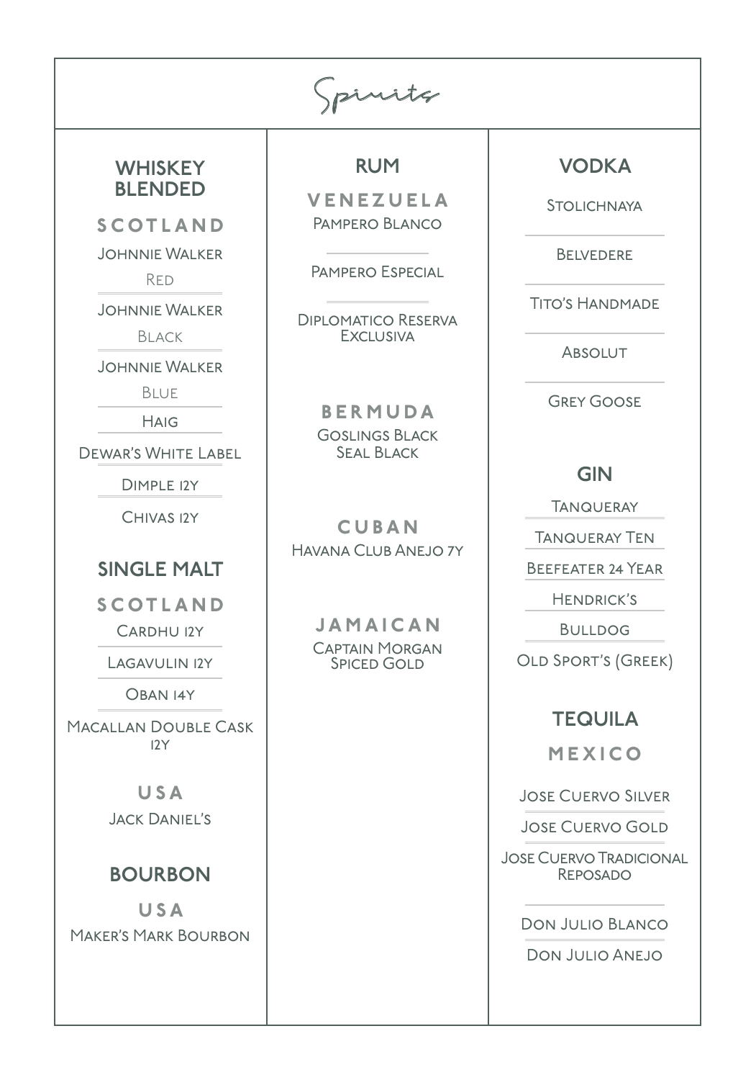Spirits

### **WHISKEY** BLENDED

SCOTLAND

Johnnie Walker

Red

Johnnie Walker

Black

Johnnie Walker

Blue

**HAIG** 

Dewar's White Label

Dimple 12y

Chivas 12y

### SINGLE MALT

SCOTLAND

Cardhu 12y

LAGAVULIN 12Y

Oban 14y

Macallan Double Cask 12y

> USA Jack Daniel's

# BOURBON

**USA** Maker's Mark Bourbon RUM

VENEZUELA Pampero Blanco

Pampero Especial

Diplomatico Reserva **EXCLUSIVA** 

> BERMUDA Goslings Black **SEAL BLACK**

**CUBAN** Havana Club Anejo 7y

> JAMAICAN Captain Morgan **SPICED GOLD**

# VODKA

**STOLICHNAYA** 

**BELVEDERE** 

Tito's Handmade

**ABSOLUT** 

Grey Goose

GIN

**TANQUERAY** 

Tanqueray Ten

Beefeater 24 Year

Hendrick's

**BULLDOG** 

Old Sport's (Greek)

## **TEQUILA**

MEXICO

Jose Cuervo Silver

Jose Cuervo Gold

Jose Cuervo Tradicional **REPOSADO** 

Don Julio Blanco

Don Julio Anejo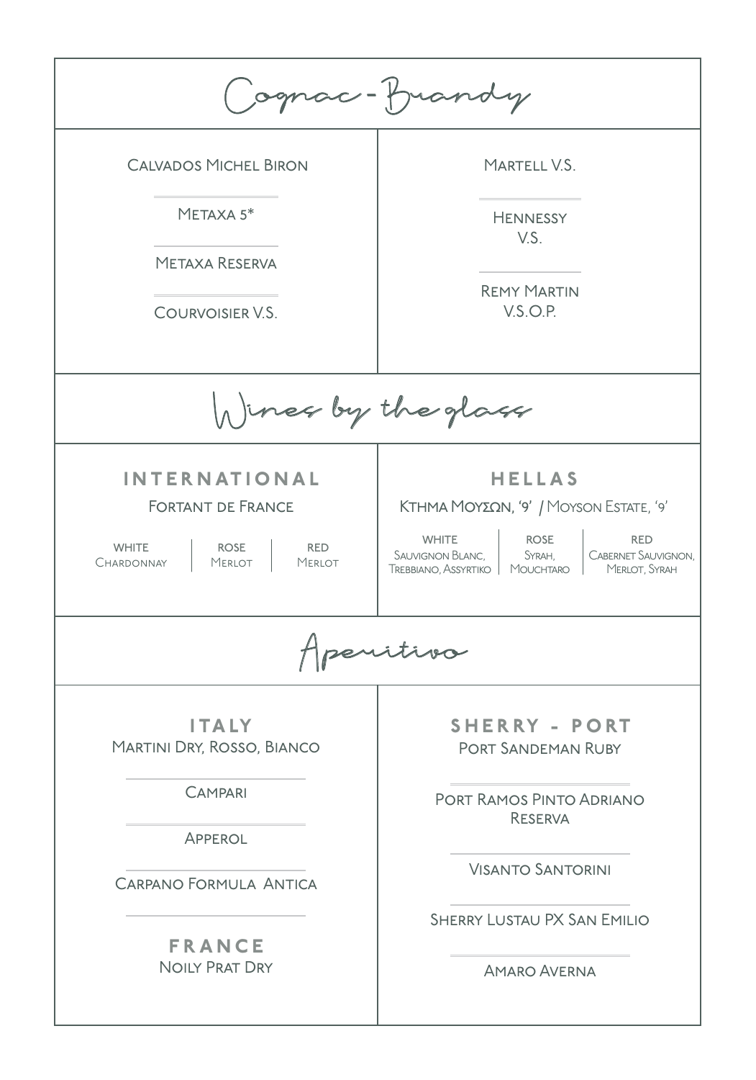| Cognac-frandy                                                                                                                                      |                                                                                                                                                                                                                       |  |  |  |  |  |
|----------------------------------------------------------------------------------------------------------------------------------------------------|-----------------------------------------------------------------------------------------------------------------------------------------------------------------------------------------------------------------------|--|--|--|--|--|
| <b>CALVADOS MICHEL BIRON</b><br>METAXA $5*$<br><b>METAXA RESERVA</b><br>COURVOISIER V.S.                                                           | MARTELL V.S.<br><b>HENNESSY</b><br>VS <sub>1</sub><br><b>REMY MARTIN</b><br>V.S.O.P.                                                                                                                                  |  |  |  |  |  |
| h) ines by the glass                                                                                                                               |                                                                                                                                                                                                                       |  |  |  |  |  |
| <b>INTERNATIONAL</b><br><b>FORTANT DE FRANCE</b><br><b>WHITE</b><br><b>ROSE</b><br><b>RED</b><br>CHARDONNAY<br><b>MERLOT</b><br><b>MERLOT</b>      | <b>HELLAS</b><br>ΚΤΗΜΑ ΜΟΥΣΩΝ, '9' / MOYSON ESTATE, '9'<br><b>WHITE</b><br><b>ROSE</b><br><b>RED</b><br>SAUVIGNON BLANC,<br><b>CABERNET SAUVIGNON,</b><br>SYRAH.<br>TREBBIANO, ASSYRTIKO   MOUCHTARO<br>MERLOT, SYRAH |  |  |  |  |  |
| revitiva                                                                                                                                           |                                                                                                                                                                                                                       |  |  |  |  |  |
| <b>ITALY</b><br>MARTINI DRY, ROSSO, BIANCO<br><b>CAMPARI</b><br>APPEROL<br><b>CARPANO FORMULA ANTICA</b><br><b>FRANCE</b><br><b>NOILY PRAT DRY</b> | <b>SHERRY - PORT</b><br><b>PORT SANDEMAN RUBY</b><br>PORT RAMOS PINTO ADRIANO<br><b>RESERVA</b><br><b>VISANTO SANTORINI</b><br><b>SHERRY LUSTAU PX SAN EMILIO</b><br><b>AMARO AVERNA</b>                              |  |  |  |  |  |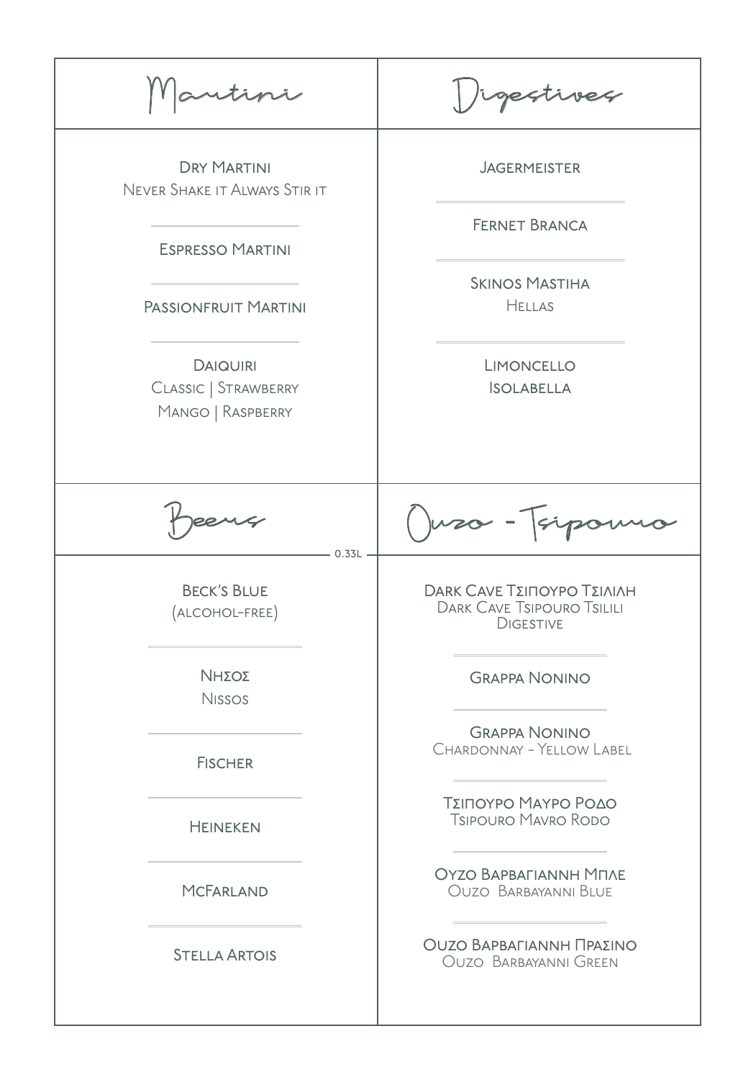|                                                              | gestives                                                                                                      |  |
|--------------------------------------------------------------|---------------------------------------------------------------------------------------------------------------|--|
| <b>DRY MARTINI</b><br>NEVER SHAKE IT ALWAYS STIR IT          | <b>JAGERMEISTER</b><br><b>FERNET BRANCA</b><br><b>SKINOS MASTIHA</b><br><b>HELLAS</b>                         |  |
| <b>ESPRESSO MARTINI</b>                                      |                                                                                                               |  |
| PASSIONFRUIT MARTINI                                         |                                                                                                               |  |
| <b>DAIQUIRI</b><br>CLASSIC   STRAWBERRY<br>MANGO   RASPBERRY | LIMONCELLO<br><b>ISOLABELLA</b>                                                                               |  |
| $-0.33L -$                                                   | Juzo - Tsipo                                                                                                  |  |
| <b>BECK'S BLUE</b><br>ALCOHOL-FREE)                          | <b>DARK CAVE ΤΣΙΠΟΥΡΟ ΤΣΙΛΙΛΗ</b><br><b>DARK CAVE TSIPOURO TSILILI</b><br><b>DIGESTIVE</b>                    |  |
| ΝΗΣΟΣ<br><b>Nissos</b>                                       | <b>GRAPPA NONINO</b>                                                                                          |  |
| <b>FISCHER</b>                                               | <b>GRAPPA NONINO</b><br><b>CHARDONNAY - YELLOW LABEL</b><br>ΤΣΙΠΟΥΡΟ ΜΑΥΡΟ ΡΟΔΟ<br><b>TSIPOURO MAVRO RODO</b> |  |
| <b>HEINEKEN</b>                                              |                                                                                                               |  |
| <b>MCFARLAND</b>                                             | <b>OYZO BAPBAFIANNH MITAE</b><br><b>OUZO BARBAYANNI BLUE</b>                                                  |  |
| <b>STELLA ARTOIS</b>                                         | ΟυΖΟ ΒΑΡΒΑΓΙΑΝΝΗ ΠΡΑΣΙΝΟ<br><b>OUZO BARBAYANNI GREEN</b>                                                      |  |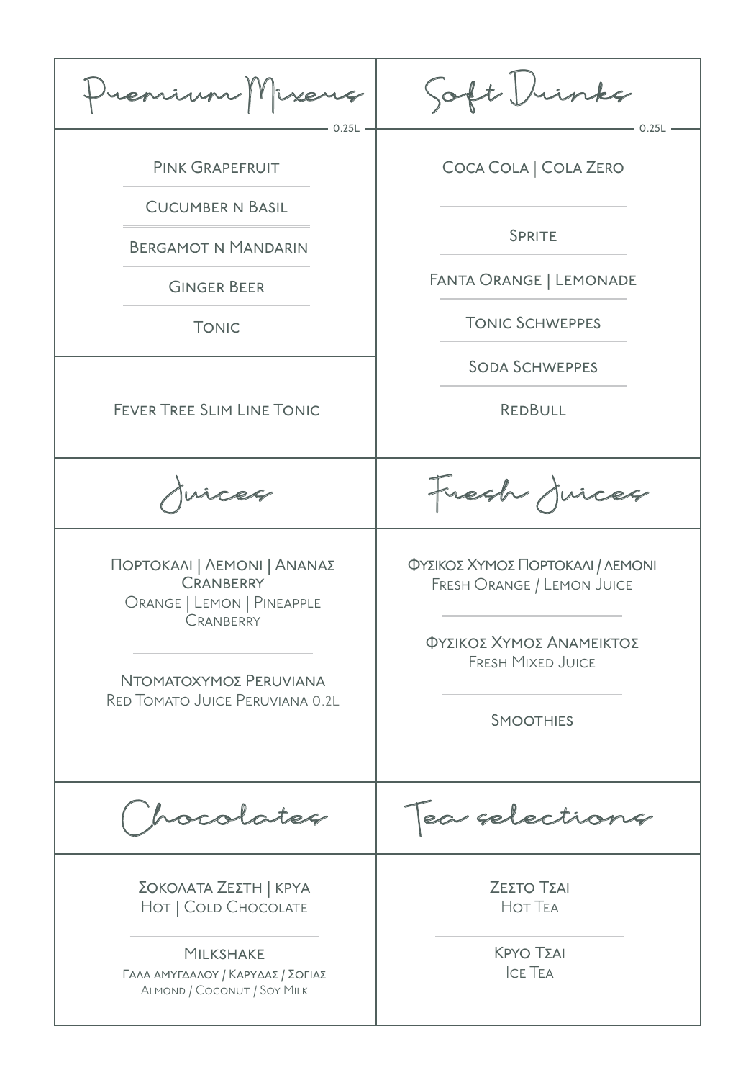Premium Mixers Pink Grapefruit Cucumber n Basil Bergamot n Mandarin Ginger Beer **TONIC** FEVER TREE SLIM LINE TONIC Coca Cola | Cola Zero SPRITE Fanta Orange | Lemonade Tonic Schweppes Soda Schweppes **REDBULL** Soft Drinks Chocolates Tea selections ΠΟΡΤΟΚΑΛΙ | ΛΕΜΟΝΙ | ΑΝΑΝΑΣ **CRANBERRY** Orange | Lemon | Pineapple **CRANBERRY** ΝΤΟΜΑΤΟΧΥΜΟΣ PERUVIANA Red Tomato Juice Peruviana 0.2l ΦΥΣΙΚΟΣ ΧΥΜΟΣ ΠΟΡΤΟΚΑΛΙ / ΛΕΜΟΝΙ Fresh Orange / Lemon Juice ΦΥΣΙΚΟΣ ΧΥΜΟΣ ΑΝΑΜΕΙΚΤΟΣ Fresh Mixed Juice **SMOOTHIES** ΖεΣΤΟ ΤΣΑΙ Hot Tea Κργο ΤΣΑΙ Ice Tea ΣΟΚΟΛΑΤΑ ΖΕΣΤΗ | ΚΡΥΑ HOT | COLD CHOCOLATE **MILKSHAKE** 0.25L - 0.25L Juices Fresh Juices ΓΑΛΑ ΑΜΥΓΔΑΛΟΥ / ΚΑΡΥΔΑΣ / ΣΟΓΙΑΣ Almond / Coconut / Soy Milk